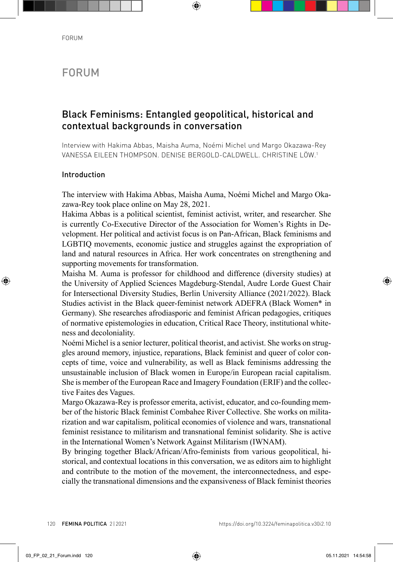# FORUM

## Black Feminisms: Entangled geopolitical, historical and contextual backgrounds in conversation

Interview with Hakima Abbas, Maisha Auma, Noémi Michel und Margo Okazawa-Rey VANESSA EILEEN THOMPSON. DENISE BERGOLD-CALDWELL. CHRISTINE LÖW.1

## Introduction

The interview with Hakima Abbas, Maisha Auma, Noémi Michel and Margo Okazawa-Rey took place online on May 28, 2021.

Hakima Abbas is a political scientist, feminist activist, writer, and researcher. She is currently Co-Executive Director of the Association for Women's Rights in Development. Her political and activist focus is on Pan-African, Black feminisms and LGBTIQ movements, economic justice and struggles against the expropriation of land and natural resources in Africa. Her work concentrates on strengthening and supporting movements for transformation.

Maisha M. Auma is professor for childhood and difference (diversity studies) at the University of Applied Sciences Magdeburg-Stendal, Audre Lorde Guest Chair for Intersectional Diversity Studies, Berlin University Alliance (2021/2022). Black Studies activist in the Black queer-feminist network ADEFRA (Black Women\* in Germany). She researches afrodiasporic and feminist African pedagogies, critiques of normative epistemologies in education, Critical Race Theory, institutional whiteness and decoloniality.

Noémi Michel is a senior lecturer, political theorist, and activist. She works on struggles around memory, injustice, reparations, Black feminist and queer of color concepts of time, voice and vulnerability, as well as Black feminisms addressing the unsustainable inclusion of Black women in Europe/in European racial capitalism. She is member of the European Race and Imagery Foundation (ERIF) and the collective Faites des Vagues.

Margo Okazawa-Rey is professor emerita, activist, educator, and co-founding member of the historic Black feminist Combahee River Collective. She works on militarization and war capitalism, political economies of violence and wars, transnational feminist resistance to militarism and transnational feminist solidarity. She is active in the International Women's Network Against Militarism (IWNAM).

By bringing together Black/African/Afro-feminists from various geopolitical, historical, and contextual locations in this conversation, we as editors aim to highlight and contribute to the motion of the movement, the interconnectedness, and especially the transnational dimensions and the expansiveness of Black feminist theories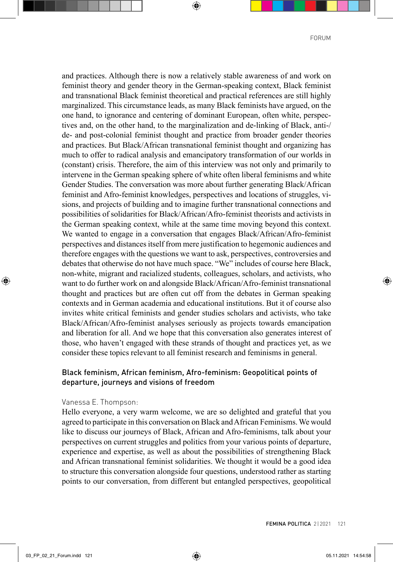and practices. Although there is now a relatively stable awareness of and work on feminist theory and gender theory in the German-speaking context, Black feminist and transnational Black feminist theoretical and practical references are still highly marginalized. This circumstance leads, as many Black feminists have argued, on the one hand, to ignorance and centering of dominant European, often white, perspectives and, on the other hand, to the marginalization and de-linking of Black, anti-/ de- and post-colonial feminist thought and practice from broader gender theories and practices. But Black/African transnational feminist thought and organizing has much to offer to radical analysis and emancipatory transformation of our worlds in (constant) crisis. Therefore, the aim of this interview was not only and primarily to intervene in the German speaking sphere of white often liberal feminisms and white Gender Studies. The conversation was more about further generating Black/African feminist and Afro-feminist knowledges, perspectives and locations of struggles, visions, and projects of building and to imagine further transnational connections and possibilities of solidarities for Black/African/Afro-feminist theorists and activists in the German speaking context, while at the same time moving beyond this context. We wanted to engage in a conversation that engages Black/African/Afro-feminist perspectives and distances itself from mere justification to hegemonic audiences and therefore engages with the questions we want to ask, perspectives, controversies and debates that otherwise do not have much space. "We" includes of course here Black, non-white, migrant and racialized students, colleagues, scholars, and activists, who want to do further work on and alongside Black/African/Afro-feminist transnational thought and practices but are often cut off from the debates in German speaking contexts and in German academia and educational institutions. But it of course also invites white critical feminists and gender studies scholars and activists, who take Black/African/Afro-feminist analyses seriously as projects towards emancipation and liberation for all. And we hope that this conversation also generates interest of those, who haven't engaged with these strands of thought and practices yet, as we consider these topics relevant to all feminist research and feminisms in general.

## Black feminism, African feminism, Afro-feminism: Geopolitical points of departure, journeys and visions of freedom

#### Vanessa E. Thompson:

Hello everyone, a very warm welcome, we are so delighted and grateful that you agreed to participate in this conversation on Black and African Feminisms. We would like to discuss our journeys of Black, African and Afro-feminisms, talk about your perspectives on current struggles and politics from your various points of departure, experience and expertise, as well as about the possibilities of strengthening Black and African transnational feminist solidarities. We thought it would be a good idea to structure this conversation alongside four questions, understood rather as starting points to our conversation, from different but entangled perspectives, geopolitical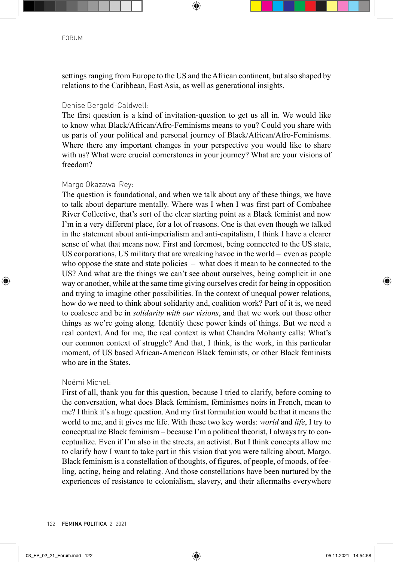settings ranging from Europe to the US and the African continent, but also shaped by relations to the Caribbean, East Asia, as well as generational insights.

## Denise Bergold-Caldwell:

The first question is a kind of invitation-question to get us all in. We would like to know what Black/African/Afro-Feminisms means to you? Could you share with us parts of your political and personal journey of Black/African/Afro-Feminisms. Where there any important changes in your perspective you would like to share with us? What were crucial cornerstones in your journey? What are your visions of freedom?

## Margo Okazawa-Rey:

The question is foundational, and when we talk about any of these things, we have to talk about departure mentally. Where was I when I was first part of Combahee River Collective, that's sort of the clear starting point as a Black feminist and now I'm in a very different place, for a lot of reasons. One is that even though we talked in the statement about anti-imperialism and anti-capitalism, I think I have a clearer sense of what that means now. First and foremost, being connected to the US state, US corporations, US military that are wreaking havoc in the world – even as people who oppose the state and state policies – what does it mean to be connected to the US? And what are the things we can't see about ourselves, being complicit in one way or another, while at the same time giving ourselves credit for being in opposition and trying to imagine other possibilities. In the context of unequal power relations, how do we need to think about solidarity and, coalition work? Part of it is, we need to coalesce and be in *solidarity with our visions*, and that we work out those other things as we're going along. Identify these power kinds of things. But we need a real context. And for me, the real context is what Chandra Mohanty calls: What's our common context of struggle? And that, I think, is the work, in this particular moment, of US based African-American Black feminists, or other Black feminists who are in the States.

## Noémi Michel:

First of all, thank you for this question, because I tried to clarify, before coming to the conversation, what does Black feminism, féminismes noirs in French, mean to me? I think it's a huge question. And my first formulation would be that it means the world to me, and it gives me life. With these two key words: *world* and *life*, I try to conceptualize Black feminism – because I'm a political theorist, I always try to conceptualize. Even if I'm also in the streets, an activist. But I think concepts allow me to clarify how I want to take part in this vision that you were talking about, Margo. Black feminism is a constellation of thoughts, of figures, of people, of moods, of feeling, acting, being and relating. And those constellations have been nurtured by the experiences of resistance to colonialism, slavery, and their aftermaths everywhere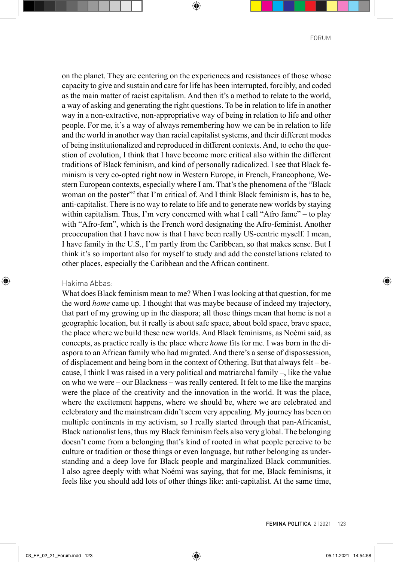on the planet. They are centering on the experiences and resistances of those whose capacity to give and sustain and care for life has been interrupted, forcibly, and coded as the main matter of racist capitalism. And then it's a method to relate to the world, a way of asking and generating the right questions. To be in relation to life in another way in a non-extractive, non-appropriative way of being in relation to life and other people. For me, it's a way of always remembering how we can be in relation to life and the world in another way than racial capitalist systems, and their different modes of being institutionalized and reproduced in different contexts. And, to echo the question of evolution, I think that I have become more critical also within the different traditions of Black feminism, and kind of personally radicalized. I see that Black feminism is very co-opted right now in Western Europe, in French, Francophone, Western European contexts, especially where I am. That's the phenomena of the "Black woman on the poster"<sup>2</sup> that I'm critical of. And I think Black feminism is, has to be, anti-capitalist. There is no way to relate to life and to generate new worlds by staying within capitalism. Thus, I'm very concerned with what I call "Afro fame" – to play with "Afro-fem", which is the French word designating the Afro-feminist. Another preoccupation that I have now is that I have been really US-centric myself. I mean, I have family in the U.S., I'm partly from the Caribbean, so that makes sense. But I think it's so important also for myself to study and add the constellations related to other places, especially the Caribbean and the African continent.

#### Hakima Abbas:

What does Black feminism mean to me? When I was looking at that question, for me the word *home* came up. I thought that was maybe because of indeed my trajectory, that part of my growing up in the diaspora; all those things mean that home is not a geographic location, but it really is about safe space, about bold space, brave space, the place where we build these new worlds. And Black feminisms, as Noémi said, as concepts, as practice really is the place where *home* fits for me. I was born in the diaspora to an African family who had migrated. And there's a sense of dispossession, of displacement and being born in the context of Othering. But that always felt – because, I think I was raised in a very political and matriarchal family –, like the value on who we were – our Blackness – was really centered. It felt to me like the margins were the place of the creativity and the innovation in the world. It was the place, where the excitement happens, where we should be, where we are celebrated and celebratory and the mainstream didn't seem very appealing. My journey has been on multiple continents in my activism, so I really started through that pan-Africanist, Black nationalist lens, thus my Black feminism feels also very global. The belonging doesn't come from a belonging that's kind of rooted in what people perceive to be culture or tradition or those things or even language, but rather belonging as understanding and a deep love for Black people and marginalized Black communities. I also agree deeply with what Noémi was saying, that for me, Black feminisms, it feels like you should add lots of other things like: anti-capitalist. At the same time,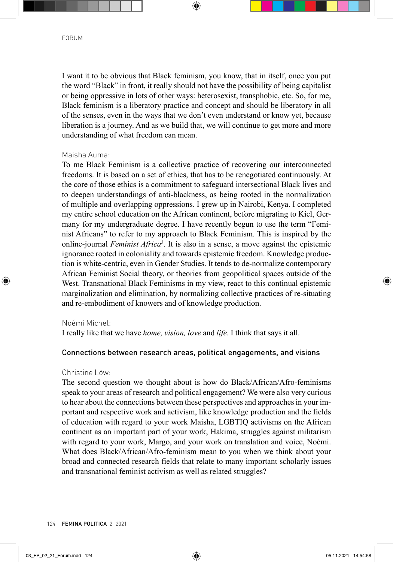I want it to be obvious that Black feminism, you know, that in itself, once you put the word "Black" in front, it really should not have the possibility of being capitalist or being oppressive in lots of other ways: heterosexist, transphobic, etc. So, for me, Black feminism is a liberatory practice and concept and should be liberatory in all of the senses, even in the ways that we don't even understand or know yet, because liberation is a journey. And as we build that, we will continue to get more and more understanding of what freedom can mean.

### Maisha Auma:

To me Black Feminism is a collective practice of recovering our interconnected freedoms. It is based on a set of ethics, that has to be renegotiated continuously. At the core of those ethics is a commitment to safeguard intersectional Black lives and to deepen understandings of anti-blackness, as being rooted in the normalization of multiple and overlapping oppressions. I grew up in Nairobi, Kenya. I completed my entire school education on the African continent, before migrating to Kiel, Germany for my undergraduate degree. I have recently begun to use the term "Feminist Africans" to refer to my approach to Black Feminism. This is inspired by the online-journal *Feminist Africa3* . It is also in a sense, a move against the epistemic ignorance rooted in coloniality and towards epistemic freedom. Knowledge production is white-centric, even in Gender Studies. It tends to de-normalize contemporary African Feminist Social theory, or theories from geopolitical spaces outside of the West. Transnational Black Feminisms in my view, react to this continual epistemic marginalization and elimination, by normalizing collective practices of re-situating and re-embodiment of knowers and of knowledge production.

#### Noémi Michel:

I really like that we have *home, vision, love* and *life*. I think that says it all.

## Connections between research areas, political engagements, and visions

## Christine Löw:

The second question we thought about is how do Black/African/Afro-feminisms speak to your areas of research and political engagement? We were also very curious to hear about the connections between these perspectives and approaches in your important and respective work and activism, like knowledge production and the fields of education with regard to your work Maisha, LGBTIQ activisms on the African continent as an important part of your work, Hakima, struggles against militarism with regard to your work, Margo, and your work on translation and voice, Noémi. What does Black/African/Afro-feminism mean to you when we think about your broad and connected research fields that relate to many important scholarly issues and transnational feminist activism as well as related struggles?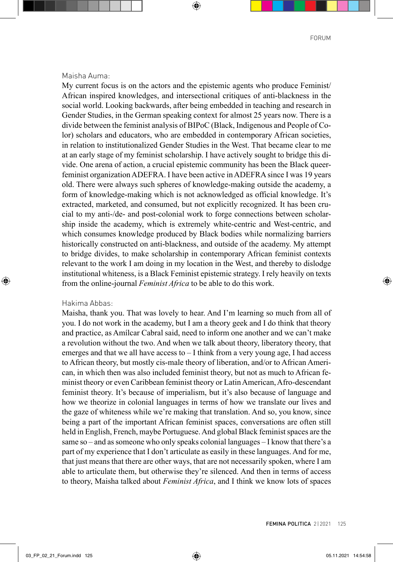#### Maisha Auma:

My current focus is on the actors and the epistemic agents who produce Feminist/ African inspired knowledges, and intersectional critiques of anti-blackness in the social world. Looking backwards, after being embedded in teaching and research in Gender Studies, in the German speaking context for almost 25 years now. There is a divide between the feminist analysis of BIPoC (Black, Indigenous and People of Color) scholars and educators, who are embedded in contemporary African societies, in relation to institutionalized Gender Studies in the West. That became clear to me at an early stage of my feminist scholarship. I have actively sought to bridge this divide. One arena of action, a crucial epistemic community has been the Black queerfeminist organization ADEFRA. I have been active in ADEFRA since I was 19 years old. There were always such spheres of knowledge-making outside the academy, a form of knowledge-making which is not acknowledged as official knowledge. It's extracted, marketed, and consumed, but not explicitly recognized. It has been crucial to my anti-/de- and post-colonial work to forge connections between scholarship inside the academy, which is extremely white-centric and West-centric, and which consumes knowledge produced by Black bodies while normalizing barriers historically constructed on anti-blackness, and outside of the academy. My attempt to bridge divides, to make scholarship in contemporary African feminist contexts relevant to the work I am doing in my location in the West, and thereby to dislodge institutional whiteness, is a Black Feminist epistemic strategy. I rely heavily on texts from the online-journal *Feminist Africa* to be able to do this work.

### Hakima Abbas:

Maisha, thank you. That was lovely to hear. And I'm learning so much from all of you. I do not work in the academy, but I am a theory geek and I do think that theory and practice, as Amílcar Cabral said, need to inform one another and we can't make a revolution without the two. And when we talk about theory, liberatory theory, that emerges and that we all have access to  $-I$  think from a very young age, I had access to African theory, but mostly cis-male theory of liberation, and/or to African American, in which then was also included feminist theory, but not as much to African feminist theory or even Caribbean feminist theory or Latin American, Afro-descendant feminist theory. It's because of imperialism, but it's also because of language and how we theorize in colonial languages in terms of how we translate our lives and the gaze of whiteness while we're making that translation. And so, you know, since being a part of the important African feminist spaces, conversations are often still held in English, French, maybe Portuguese. And global Black feminist spaces are the same so – and as someone who only speaks colonial languages – I know that there's a part of my experience that I don't articulate as easily in these languages. And for me, that just means that there are other ways, that are not necessarily spoken, where I am able to articulate them, but otherwise they're silenced. And then in terms of access to theory, Maisha talked about *Feminist Africa*, and I think we know lots of spaces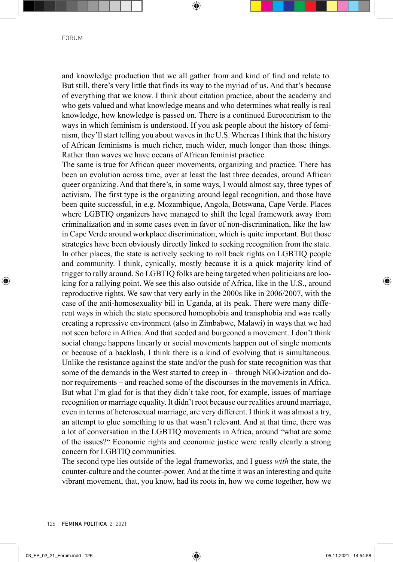and knowledge production that we all gather from and kind of find and relate to. But still, there's very little that finds its way to the myriad of us. And that's because of everything that we know. I think about citation practice, about the academy and who gets valued and what knowledge means and who determines what really is real knowledge, how knowledge is passed on. There is a continued Eurocentrism to the ways in which feminism is understood. If you ask people about the history of feminism, they'll start telling you about waves in the U.S. Whereas I think that the history of African feminisms is much richer, much wider, much longer than those things. Rather than waves we have oceans of African feminist practice.

The same is true for African queer movements, organizing and practice. There has been an evolution across time, over at least the last three decades, around African queer organizing. And that there's, in some ways, I would almost say, three types of activism. The first type is the organizing around legal recognition, and those have been quite successful, in e.g. Mozambique, Angola, Botswana, Cape Verde. Places where LGBTIQ organizers have managed to shift the legal framework away from criminalization and in some cases even in favor of non-discrimination, like the law in Cape Verde around workplace discrimination, which is quite important. But those strategies have been obviously directly linked to seeking recognition from the state. In other places, the state is actively seeking to roll back rights on LGBTIQ people and community. I think, cynically, mostly because it is a quick majority kind of trigger to rally around. So LGBTIQ folks are being targeted when politicians are looking for a rallying point. We see this also outside of Africa, like in the U.S., around reproductive rights. We saw that very early in the 2000s like in 2006/2007, with the case of the anti-homosexuality bill in Uganda, at its peak. There were many different ways in which the state sponsored homophobia and transphobia and was really creating a repressive environment (also in Zimbabwe, Malawi) in ways that we had not seen before in Africa. And that seeded and burgeoned a movement. I don't think social change happens linearly or social movements happen out of single moments or because of a backlash, I think there is a kind of evolving that is simultaneous. Unlike the resistance against the state and/or the push for state recognition was that some of the demands in the West started to creep in – through NGO-ization and donor requirements – and reached some of the discourses in the movements in Africa. But what I'm glad for is that they didn't take root, for example, issues of marriage recognition or marriage equality. It didn't root because our realities around marriage, even in terms of heterosexual marriage, are very different. I think it was almost a try, an attempt to glue something to us that wasn't relevant. And at that time, there was a lot of conversation in the LGBTIQ movements in Africa, around "what are some of the issues?" Economic rights and economic justice were really clearly a strong concern for LGBTIQ communities.

The second type lies outside of the legal frameworks, and I guess *with* the state, the counter-culture and the counter-power. And at the time it was an interesting and quite vibrant movement, that, you know, had its roots in, how we come together, how we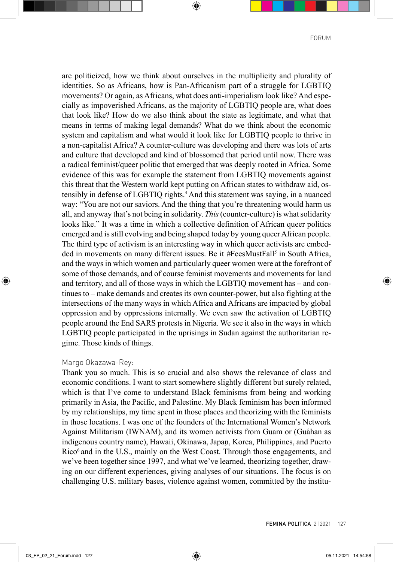are politicized, how we think about ourselves in the multiplicity and plurality of identities. So as Africans, how is Pan-Africanism part of a struggle for LGBTIQ movements? Or again, as Africans, what does anti-imperialism look like? And especially as impoverished Africans, as the majority of LGBTIQ people are, what does that look like? How do we also think about the state as legitimate, and what that means in terms of making legal demands? What do we think about the economic system and capitalism and what would it look like for LGBTIQ people to thrive in a non-capitalist Africa? A counter-culture was developing and there was lots of arts and culture that developed and kind of blossomed that period until now. There was a radical feminist/queer politic that emerged that was deeply rooted in Africa. Some evidence of this was for example the statement from LGBTIQ movements against this threat that the Western world kept putting on African states to withdraw aid, ostensibly in defense of LGBTIQ rights.4 And this statement was saying, in a nuanced way: "You are not our saviors. And the thing that you're threatening would harm us all, and anyway that's not being in solidarity. *This* (counter-culture) is what solidarity looks like." It was a time in which a collective definition of African queer politics emerged and is still evolving and being shaped today by young queer African people. The third type of activism is an interesting way in which queer activists are embedded in movements on many different issues. Be it *#*FeesMustFall*<sup>5</sup>* in South Africa, and the ways in which women and particularly queer women were at the forefront of some of those demands, and of course feminist movements and movements for land and territory, and all of those ways in which the LGBTIQ movement has – and continues to – make demands and creates its own counter-power, but also fighting at the intersections of the many ways in which Africa and Africans are impacted by global oppression and by oppressions internally. We even saw the activation of LGBTIQ people around the End SARS protests in Nigeria. We see it also in the ways in which LGBTIQ people participated in the uprisings in Sudan against the authoritarian regime. Those kinds of things.

#### Margo Okazawa-Rey:

Thank you so much. This is so crucial and also shows the relevance of class and economic conditions. I want to start somewhere slightly different but surely related, which is that I've come to understand Black feminisms from being and working primarily in Asia, the Pacific, and Palestine. My Black feminism has been informed by my relationships, my time spent in those places and theorizing with the feminists in those locations. I was one of the founders of the International Women's Network Against Militarism (IWNAM), and its women activists from Guam or (Guåhan as indigenous country name), Hawaii, Okinawa, Japan, Korea, Philippines, and Puerto Rico<sup>6</sup> and in the U.S., mainly on the West Coast. Through those engagements, and we've been together since 1997, and what we've learned, theorizing together, drawing on our different experiences, giving analyses of our situations. The focus is on challenging U.S. military bases, violence against women, committed by the institu-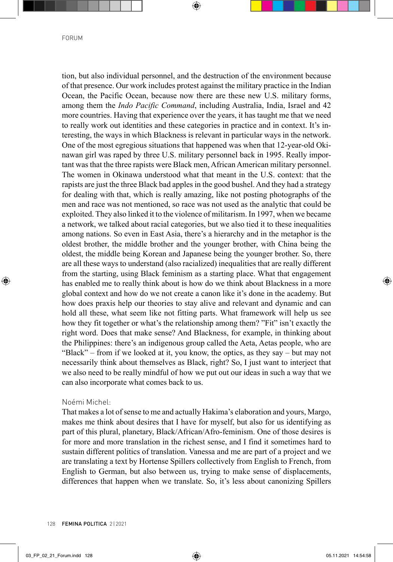tion, but also individual personnel, and the destruction of the environment because of that presence. Our work includes protest against the military practice in the Indian Ocean, the Pacific Ocean, because now there are these new U.S. military forms, among them the *Indo Pacific Command*, including Australia, India, Israel and 42 more countries. Having that experience over the years, it has taught me that we need to really work out identities and these categories in practice and in context. It's interesting, the ways in which Blackness is relevant in particular ways in the network. One of the most egregious situations that happened was when that 12-year-old Okinawan girl was raped by three U.S. military personnel back in 1995. Really important was that the three rapists were Black men, African American military personnel. The women in Okinawa understood what that meant in the U.S. context: that the rapists are just the three Black bad apples in the good bushel. And they had a strategy for dealing with that, which is really amazing, like not posting photographs of the men and race was not mentioned, so race was not used as the analytic that could be exploited. They also linked it to the violence of militarism. In 1997, when we became a network, we talked about racial categories, but we also tied it to these inequalities among nations. So even in East Asia, there's a hierarchy and in the metaphor is the oldest brother, the middle brother and the younger brother, with China being the oldest, the middle being Korean and Japanese being the younger brother. So, there are all these ways to understand (also racialized) inequalities that are really different from the starting, using Black feminism as a starting place. What that engagement has enabled me to really think about is how do we think about Blackness in a more global context and how do we not create a canon like it's done in the academy. But how does praxis help our theories to stay alive and relevant and dynamic and can hold all these, what seem like not fitting parts. What framework will help us see how they fit together or what's the relationship among them? "Fit" isn't exactly the right word. Does that make sense? And Blackness, for example, in thinking about the Philippines: there's an indigenous group called the Aeta, Aetas people, who are "Black" – from if we looked at it, you know, the optics, as they say – but may not necessarily think about themselves as Black, right? So, I just want to interject that we also need to be really mindful of how we put out our ideas in such a way that we can also incorporate what comes back to us.

#### Noémi Michel:

That makes a lot of sense to me and actually Hakima's elaboration and yours, Margo, makes me think about desires that I have for myself, but also for us identifying as part of this plural, planetary, Black/African/Afro-feminism. One of those desires is for more and more translation in the richest sense, and I find it sometimes hard to sustain different politics of translation. Vanessa and me are part of a project and we are translating a text by Hortense Spillers collectively from English to French, from English to German, but also between us, trying to make sense of displacements, differences that happen when we translate. So, it's less about canonizing Spillers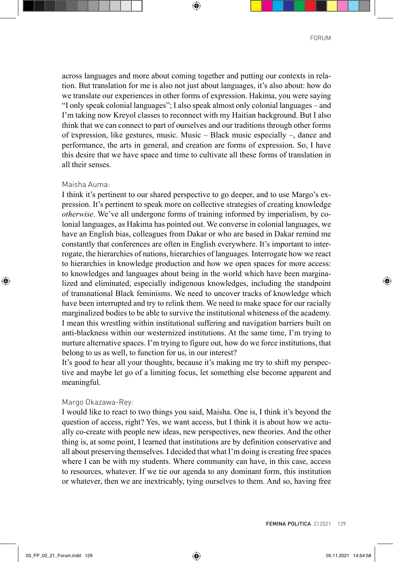across languages and more about coming together and putting our contexts in relation. But translation for me is also not just about languages, it's also about: how do we translate our experiences in other forms of expression. Hakima, you were saying "I only speak colonial languages"; I also speak almost only colonial languages – and I'm taking now Kreyol classes to reconnect with my Haitian background. But I also think that we can connect to part of ourselves and our traditions through other forms of expression, like gestures, music. Music – Black music especially –, dance and performance, the arts in general, and creation are forms of expression. So, I have this desire that we have space and time to cultivate all these forms of translation in all their senses.

#### Maisha Auma:

I think it's pertinent to our shared perspective to go deeper, and to use Margo's expression. It's pertinent to speak more on collective strategies of creating knowledge *otherwise*. We've all undergone forms of training informed by imperialism, by colonial languages, as Hakima has pointed out. We converse in colonial languages, we have an English bias, colleagues from Dakar or who are based in Dakar remind me constantly that conferences are often in English everywhere. It's important to interrogate, the hierarchies of nations, hierarchies of languages. Interrogate how we react to hierarchies in knowledge production and how we open spaces for more access: to knowledges and languages about being in the world which have been marginalized and eliminated, especially indigenous knowledges, including the standpoint of transnational Black feminisms. We need to uncover tracks of knowledge which have been interrupted and try to relink them. We need to make space for our racially marginalized bodies to be able to survive the institutional whiteness of the academy. I mean this wrestling within institutional suffering and navigation barriers built on anti-blackness within our westernized institutions. At the same time, I'm trying to nurture alternative spaces. I'm trying to figure out, how do we force institutions, that belong to us as well, to function for us, in our interest?

It's good to hear all your thoughts, because it's making me try to shift my perspective and maybe let go of a limiting focus, let something else become apparent and meaningful.

#### Margo Okazawa-Rey:

I would like to react to two things you said, Maisha. One is, I think it's beyond the question of access, right? Yes, we want access, but I think it is about how we actually co-create with people new ideas, new perspectives, new theories. And the other thing is, at some point, I learned that institutions are by definition conservative and all about preserving themselves. I decided that what I'm doing is creating free spaces where I can be with my students. Where community can have, in this case, access to resources, whatever. If we tie our agenda to any dominant form, this institution or whatever, then we are inextricably, tying ourselves to them. And so, having free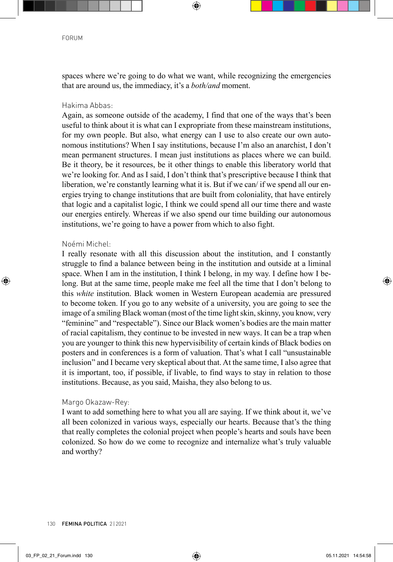spaces where we're going to do what we want, while recognizing the emergencies that are around us, the immediacy, it's a *both/and* moment.

## Hakima Abbas:

Again, as someone outside of the academy, I find that one of the ways that's been useful to think about it is what can I expropriate from these mainstream institutions, for my own people. But also, what energy can I use to also create our own autonomous institutions? When I say institutions, because I'm also an anarchist, I don't mean permanent structures. I mean just institutions as places where we can build. Be it theory, be it resources, be it other things to enable this liberatory world that we're looking for. And as I said, I don't think that's prescriptive because I think that liberation, we're constantly learning what it is. But if we can' if we spend all our energies trying to change institutions that are built from coloniality, that have entirely that logic and a capitalist logic, I think we could spend all our time there and waste our energies entirely. Whereas if we also spend our time building our autonomous institutions, we're going to have a power from which to also fight.

## Noémi Michel:

I really resonate with all this discussion about the institution, and I constantly struggle to find a balance between being in the institution and outside at a liminal space. When I am in the institution, I think I belong, in my way. I define how I belong. But at the same time, people make me feel all the time that I don't belong to this *white* institution. Black women in Western European academia are pressured to become token. If you go to any website of a university, you are going to see the image of a smiling Black woman (most of the time light skin, skinny, you know, very "feminine" and "respectable"). Since our Black women's bodies are the main matter of racial capitalism, they continue to be invested in new ways. It can be a trap when you are younger to think this new hypervisibility of certain kinds of Black bodies on posters and in conferences is a form of valuation. That's what I call "unsustainable inclusion" and I became very skeptical about that. At the same time, I also agree that it is important, too, if possible, if livable, to find ways to stay in relation to those institutions. Because, as you said, Maisha, they also belong to us.

## Margo Okazaw-Rey:

I want to add something here to what you all are saying. If we think about it, we've all been colonized in various ways, especially our hearts. Because that's the thing that really completes the colonial project when people's hearts and souls have been colonized. So how do we come to recognize and internalize what's truly valuable and worthy?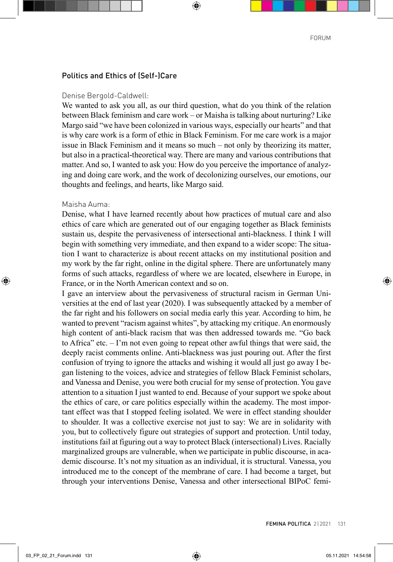## Politics and Ethics of (Self-)Care

#### Denise Bergold-Caldwell:

We wanted to ask you all, as our third question, what do you think of the relation between Black feminism and care work – or Maisha is talking about nurturing? Like Margo said "we have been colonized in various ways, especially our hearts" and that is why care work is a form of ethic in Black Feminism. For me care work is a major issue in Black Feminism and it means so much – not only by theorizing its matter, but also in a practical-theoretical way. There are many and various contributions that matter. And so, I wanted to ask you: How do you perceive the importance of analyzing and doing care work, and the work of decolonizing ourselves, our emotions, our thoughts and feelings, and hearts, like Margo said.

#### Maisha Auma:

Denise, what I have learned recently about how practices of mutual care and also ethics of care which are generated out of our engaging together as Black feminists sustain us, despite the pervasiveness of intersectional anti-blackness. I think I will begin with something very immediate, and then expand to a wider scope: The situation I want to characterize is about recent attacks on my institutional position and my work by the far right, online in the digital sphere. There are unfortunately many forms of such attacks, regardless of where we are located, elsewhere in Europe, in France, or in the North American context and so on.

I gave an interview about the pervasiveness of structural racism in German Universities at the end of last year (2020). I was subsequently attacked by a member of the far right and his followers on social media early this year. According to him, he wanted to prevent "racism against whites", by attacking my critique. An enormously high content of anti-black racism that was then addressed towards me. "Go back to Africa" etc. – I'm not even going to repeat other awful things that were said, the deeply racist comments online. Anti-blackness was just pouring out. After the first confusion of trying to ignore the attacks and wishing it would all just go away I began listening to the voices, advice and strategies of fellow Black Feminist scholars, and Vanessa and Denise, you were both crucial for my sense of protection. You gave attention to a situation I just wanted to end. Because of your support we spoke about the ethics of care, or care politics especially within the academy. The most important effect was that I stopped feeling isolated. We were in effect standing shoulder to shoulder. It was a collective exercise not just to say: We are in solidarity with you, but to collectively figure out strategies of support and protection. Until today, institutions fail at figuring out a way to protect Black (intersectional) Lives. Racially marginalized groups are vulnerable, when we participate in public discourse, in academic discourse. It's not my situation as an individual, it is structural. Vanessa, you introduced me to the concept of the membrane of care. I had become a target, but through your interventions Denise, Vanessa and other intersectional BIPoC femi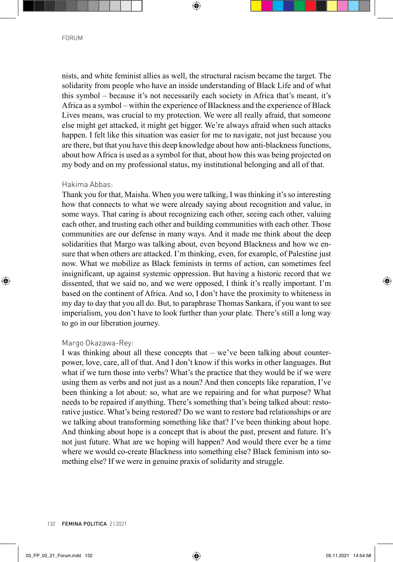nists, and white feminist allies as well, the structural racism became the target. The solidarity from people who have an inside understanding of Black Life and of what this symbol – because it's not necessarily each society in Africa that's meant, it's Africa as a symbol – within the experience of Blackness and the experience of Black Lives means, was crucial to my protection. We were all really afraid, that someone else might get attacked, it might get bigger. We're always afraid when such attacks happen. I felt like this situation was easier for me to navigate, not just because you are there, but that you have this deep knowledge about how anti-blackness functions, about how Africa is used as a symbol for that, about how this was being projected on my body and on my professional status, my institutional belonging and all of that.

## Hakima Abbas:

Thank you for that, Maisha. When you were talking, I was thinking it's so interesting how that connects to what we were already saying about recognition and value, in some ways. That caring is about recognizing each other, seeing each other, valuing each other, and trusting each other and building communities with each other. Those communities are our defense in many ways. And it made me think about the deep solidarities that Margo was talking about, even beyond Blackness and how we ensure that when others are attacked. I'm thinking, even, for example, of Palestine just now. What we mobilize as Black feminists in terms of action, can sometimes feel insignificant, up against systemic oppression. But having a historic record that we dissented, that we said no, and we were opposed, I think it's really important. I'm based on the continent of Africa. And so, I don't have the proximity to whiteness in my day to day that you all do. But, to paraphrase Thomas Sankara, if you want to see imperialism, you don't have to look further than your plate. There's still a long way to go in our liberation journey.

#### Margo Okazawa-Rey:

I was thinking about all these concepts that – we've been talking about counterpower, love, care, all of that. And I don't know if this works in other languages. But what if we turn those into verbs? What's the practice that they would be if we were using them as verbs and not just as a noun? And then concepts like reparation, I've been thinking a lot about: so, what are we repairing and for what purpose? What needs to be repaired if anything. There's something that's being talked about: restorative justice. What's being restored? Do we want to restore bad relationships or are we talking about transforming something like that? I've been thinking about hope. And thinking about hope is a concept that is about the past, present and future. It's not just future. What are we hoping will happen? And would there ever be a time where we would co-create Blackness into something else? Black feminism into something else? If we were in genuine praxis of solidarity and struggle.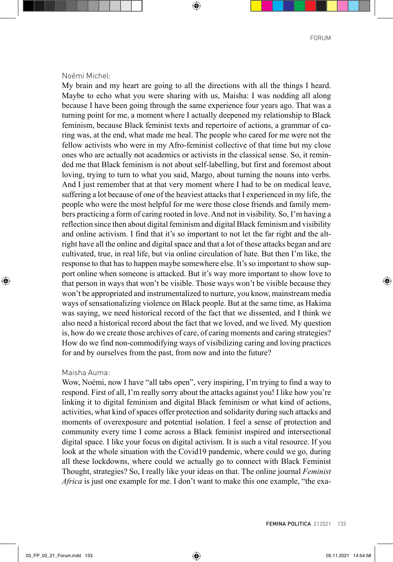#### Noémi Michel:

My brain and my heart are going to all the directions with all the things I heard. Maybe to echo what you were sharing with us, Maisha: I was nodding all along because I have been going through the same experience four years ago. That was a turning point for me, a moment where I actually deepened my relationship to Black feminism, because Black feminist texts and repertoire of actions, a grammar of caring was, at the end, what made me heal. The people who cared for me were not the fellow activists who were in my Afro-feminist collective of that time but my close ones who are actually not academics or activists in the classical sense. So, it reminded me that Black feminism is not about self-labelling, but first and foremost about loving, trying to turn to what you said, Margo, about turning the nouns into verbs. And I just remember that at that very moment where I had to be on medical leave, suffering a lot because of one of the heaviest attacks that I experienced in my life, the people who were the most helpful for me were those close friends and family members practicing a form of caring rooted in love. And not in visibility. So, I'm having a reflection since then about digital feminism and digital Black feminism and visibility and online activism. I find that it's so important to not let the far right and the altright have all the online and digital space and that a lot of these attacks began and are cultivated, true, in real life, but via online circulation of hate. But then I'm like, the response to that has to happen maybe somewhere else. It's so important to show support online when someone is attacked. But it's way more important to show love to that person in ways that won't be visible. Those ways won't be visible because they won't be appropriated and instrumentalized to nurture, you know, mainstream media ways of sensationalizing violence on Black people. But at the same time, as Hakima was saying, we need historical record of the fact that we dissented, and I think we also need a historical record about the fact that we loved, and we lived. My question is, how do we create those archives of care, of caring moments and caring strategies? How do we find non-commodifying ways of visibilizing caring and loving practices for and by ourselves from the past, from now and into the future?

#### Maisha Auma:

Wow, Noémi, now I have "all tabs open", very inspiring, I'm trying to find a way to respond. First of all, I'm really sorry about the attacks against you! I like how you're linking it to digital feminism and digital Black feminism or what kind of actions, activities, what kind of spaces offer protection and solidarity during such attacks and moments of overexposure and potential isolation. I feel a sense of protection and community every time I come across a Black feminist inspired and intersectional digital space. I like your focus on digital activism. It is such a vital resource. If you look at the whole situation with the Covid19 pandemic, where could we go, during all these lockdowns, where could we actually go to connect with Black Feminist Thought, strategies? So, I really like your ideas on that. The online journal *Feminist Africa* is just one example for me. I don't want to make this one example, "the exa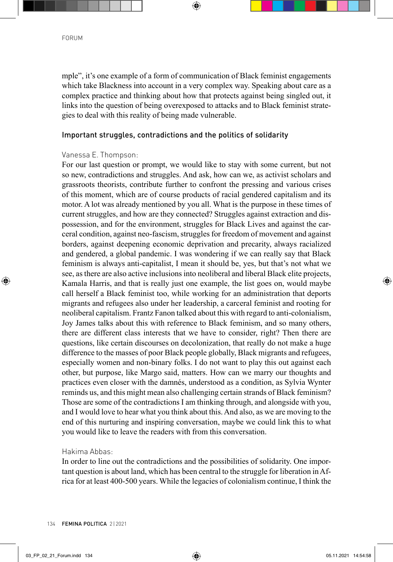mple", it's one example of a form of communication of Black feminist engagements which take Blackness into account in a very complex way. Speaking about care as a complex practice and thinking about how that protects against being singled out, it links into the question of being overexposed to attacks and to Black feminist strategies to deal with this reality of being made vulnerable.

## Important struggles, contradictions and the politics of solidarity

## Vanessa E. Thompson:

For our last question or prompt, we would like to stay with some current, but not so new, contradictions and struggles. And ask, how can we, as activist scholars and grassroots theorists, contribute further to confront the pressing and various crises of this moment, which are of course products of racial gendered capitalism and its motor. A lot was already mentioned by you all. What is the purpose in these times of current struggles, and how are they connected? Struggles against extraction and dispossession, and for the environment, struggles for Black Lives and against the carceral condition, against neo-fascism, struggles for freedom of movement and against borders, against deepening economic deprivation and precarity, always racialized and gendered, a global pandemic. I was wondering if we can really say that Black feminism is always anti-capitalist, I mean it should be, yes, but that's not what we see, as there are also active inclusions into neoliberal and liberal Black elite projects, Kamala Harris, and that is really just one example, the list goes on, would maybe call herself a Black feminist too, while working for an administration that deports migrants and refugees also under her leadership, a carceral feminist and rooting for neoliberal capitalism. Frantz Fanon talked about this with regard to anti-colonialism, Joy James talks about this with reference to Black feminism, and so many others, there are different class interests that we have to consider, right? Then there are questions, like certain discourses on decolonization, that really do not make a huge difference to the masses of poor Black people globally, Black migrants and refugees, especially women and non-binary folks. I do not want to play this out against each other, but purpose, like Margo said, matters. How can we marry our thoughts and practices even closer with the damnés, understood as a condition, as Sylvia Wynter reminds us, and this might mean also challenging certain strands of Black feminism? Those are some of the contradictions I am thinking through, and alongside with you, and I would love to hear what you think about this. And also, as we are moving to the end of this nurturing and inspiring conversation, maybe we could link this to what you would like to leave the readers with from this conversation.

## Hakima Abbas:

In order to line out the contradictions and the possibilities of solidarity. One important question is about land, which has been central to the struggle for liberation in Africa for at least 400-500 years. While the legacies of colonialism continue, I think the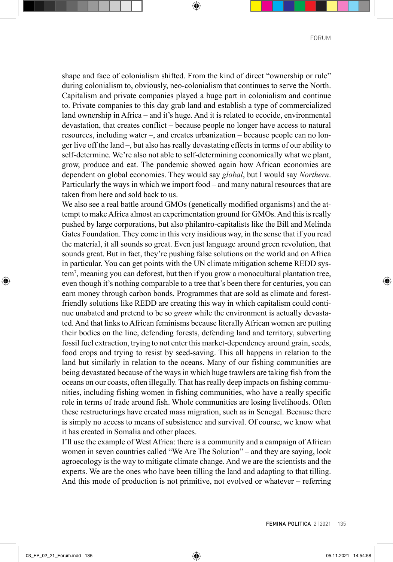shape and face of colonialism shifted. From the kind of direct "ownership or rule" during colonialism to, obviously, neo-colonialism that continues to serve the North. Capitalism and private companies played a huge part in colonialism and continue to. Private companies to this day grab land and establish a type of commercialized land ownership in Africa – and it's huge. And it is related to ecocide, environmental devastation, that creates conflict – because people no longer have access to natural resources, including water –, and creates urbanization – because people can no longer live off the land –, but also has really devastating effects in terms of our ability to self-determine. We're also not able to self-determining economically what we plant, grow, produce and eat. The pandemic showed again how African economies are dependent on global economies. They would say *global*, but I would say *Northern*. Particularly the ways in which we import food – and many natural resources that are taken from here and sold back to us.

We also see a real battle around GMOs (genetically modified organisms) and the attempt to make Africa almost an experimentation ground for GMOs. And this is really pushed by large corporations, but also philantro-capitalists like the Bill and Melinda Gates Foundation. They come in this very insidious way, in the sense that if you read the material, it all sounds so great. Even just language around green revolution, that sounds great. But in fact, they're pushing false solutions on the world and on Africa in particular. You can get points with the UN climate mitigation scheme REDD system7 , meaning you can deforest, but then if you grow a monocultural plantation tree, even though it's nothing comparable to a tree that's been there for centuries, you can earn money through carbon bonds. Programmes that are sold as climate and forestfriendly solutions like REDD are creating this way in which capitalism could continue unabated and pretend to be so *green* while the environment is actually devastated. And that links to African feminisms because literally African women are putting their bodies on the line, defending forests, defending land and territory, subverting fossil fuel extraction, trying to not enter this market-dependency around grain, seeds, food crops and trying to resist by seed-saving. This all happens in relation to the land but similarly in relation to the oceans. Many of our fishing communities are being devastated because of the ways in which huge trawlers are taking fish from the oceans on our coasts, often illegally. That has really deep impacts on fishing communities, including fishing women in fishing communities, who have a really specific role in terms of trade around fish. Whole communities are losing livelihoods. Often these restructurings have created mass migration, such as in Senegal. Because there is simply no access to means of subsistence and survival. Of course, we know what it has created in Somalia and other places.

I'll use the example of West Africa: there is a community and a campaign of African women in seven countries called "We Are The Solution" – and they are saying, look agroecology is the way to mitigate climate change. And we are the scientists and the experts. We are the ones who have been tilling the land and adapting to that tilling. And this mode of production is not primitive, not evolved or whatever – referring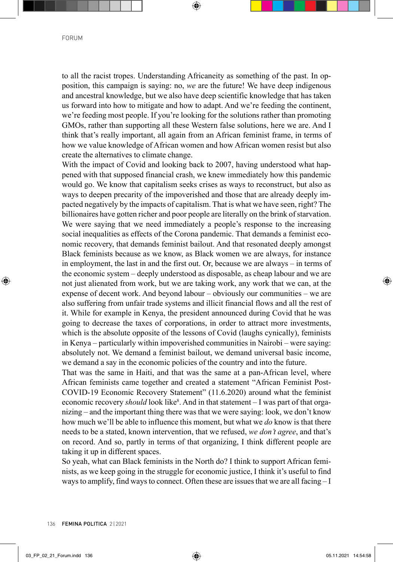to all the racist tropes. Understanding Africaneity as something of the past. In opposition, this campaign is saying: no, *we* are the future! We have deep indigenous and ancestral knowledge, but we also have deep scientific knowledge that has taken us forward into how to mitigate and how to adapt. And we're feeding the continent, we're feeding most people. If you're looking for the solutions rather than promoting GMOs, rather than supporting all these Western false solutions, here we are. And I think that's really important, all again from an African feminist frame, in terms of how we value knowledge of African women and how African women resist but also create the alternatives to climate change.

With the impact of Covid and looking back to 2007, having understood what happened with that supposed financial crash, we knew immediately how this pandemic would go. We know that capitalism seeks crises as ways to reconstruct, but also as ways to deepen precarity of the impoverished and those that are already deeply impacted negatively by the impacts of capitalism. That is what we have seen, right? The billionaires have gotten richer and poor people are literally on the brink of starvation. We were saying that we need immediately a people's response to the increasing social inequalities as effects of the Corona pandemic. That demands a feminist economic recovery, that demands feminist bailout. And that resonated deeply amongst Black feminists because as we know, as Black women we are always, for instance in employment, the last in and the first out. Or, because we are always – in terms of the economic system – deeply understood as disposable, as cheap labour and we are not just alienated from work, but we are taking work, any work that we can, at the expense of decent work. And beyond labour – obviously our communities – we are also suffering from unfair trade systems and illicit financial flows and all the rest of it. While for example in Kenya, the president announced during Covid that he was going to decrease the taxes of corporations, in order to attract more investments, which is the absolute opposite of the lessons of Covid (laughs cynically), feminists in Kenya – particularly within impoverished communities in Nairobi – were saying: absolutely not. We demand a feminist bailout, we demand universal basic income, we demand a say in the economic policies of the country and into the future.

That was the same in Haiti, and that was the same at a pan-African level, where African feminists came together and created a statement "African Feminist Post-COVID-19 Economic Recovery Statement" (11.6.2020) around what the feminist economic recovery *should* look like<sup>8</sup>. And in that statement – I was part of that organizing – and the important thing there was that we were saying: look, we don't know how much we'll be able to influence this moment, but what we *do* know is that there needs to be a stated, known intervention, that we refused, *we don't agree*, and that's on record. And so, partly in terms of that organizing, I think different people are taking it up in different spaces.

So yeah, what can Black feminists in the North do? I think to support African feminists, as we keep going in the struggle for economic justice, I think it's useful to find ways to amplify, find ways to connect. Often these are issues that we are all facing – I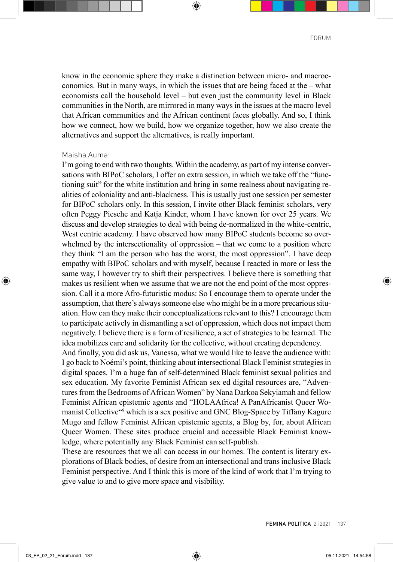know in the economic sphere they make a distinction between micro- and macroeconomics. But in many ways, in which the issues that are being faced at the – what economists call the household level – but even just the community level in Black communities in the North, are mirrored in many ways in the issues at the macro level that African communities and the African continent faces globally. And so, I think how we connect, how we build, how we organize together, how we also create the alternatives and support the alternatives, is really important.

#### Maisha Auma:

I'm going to end with two thoughts. Within the academy, as part of my intense conversations with BIPoC scholars, I offer an extra session, in which we take off the "functioning suit" for the white institution and bring in some realness about navigating realities of coloniality and anti-blackness. This is usually just one session per semester for BIPoC scholars only. In this session, I invite other Black feminist scholars, very often Peggy Piesche and Katja Kinder, whom I have known for over 25 years. We discuss and develop strategies to deal with being de-normalized in the white-centric, West centric academy. I have observed how many BIPoC students become so overwhelmed by the intersectionality of oppression – that we come to a position where they think "I am the person who has the worst, the most oppression". I have deep empathy with BIPoC scholars and with myself, because I reacted in more or less the same way, I however try to shift their perspectives. I believe there is something that makes us resilient when we assume that we are not the end point of the most oppression. Call it a more Afro-futuristic modus: So I encourage them to operate under the assumption, that there's always someone else who might be in a more precarious situation. How can they make their conceptualizations relevant to this? I encourage them to participate actively in dismantling a set of oppression, which does not impact them negatively. I believe there is a form of resilience, a set of strategies to be learned. The idea mobilizes care and solidarity for the collective, without creating dependency.

And finally, you did ask us, Vanessa, what we would like to leave the audience with: I go back to Noémi's point, thinking about intersectional Black Feminist strategies in digital spaces. I'm a huge fan of self-determined Black feminist sexual politics and sex education. My favorite Feminist African sex ed digital resources are, "Adventures from the Bedrooms of African Women" by Nana Darkoa Sekyiamah and fellow Feminist African epistemic agents and "HOLAAfrica! A PanAfricanist Queer Womanist Collective"9 which is a sex positive and GNC Blog-Space by Tiffany Kagure Mugo and fellow Feminist African epistemic agents, a Blog by, for, about African Queer Women. These sites produce crucial and accessible Black Feminist knowledge, where potentially any Black Feminist can self-publish.

These are resources that we all can access in our homes. The content is literary explorations of Black bodies, of desire from an intersectional and trans inclusive Black Feminist perspective. And I think this is more of the kind of work that I'm trying to give value to and to give more space and visibility.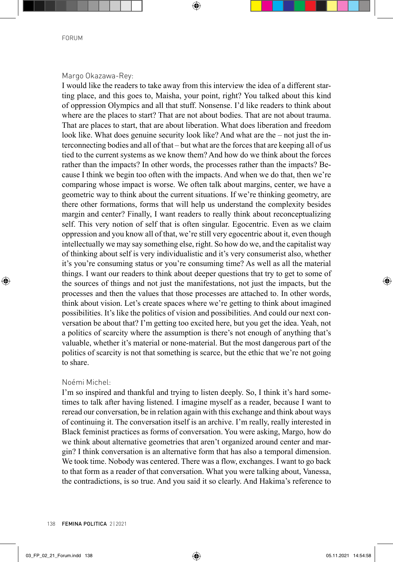## Margo Okazawa-Rey:

I would like the readers to take away from this interview the idea of a different starting place, and this goes to, Maisha, your point, right? You talked about this kind of oppression Olympics and all that stuff. Nonsense. I'd like readers to think about where are the places to start? That are not about bodies. That are not about trauma. That are places to start, that are about liberation. What does liberation and freedom look like. What does genuine security look like? And what are the – not just the interconnecting bodies and all of that – but what are the forces that are keeping all of us tied to the current systems as we know them? And how do we think about the forces rather than the impacts? In other words, the processes rather than the impacts? Because I think we begin too often with the impacts. And when we do that, then we're comparing whose impact is worse. We often talk about margins, center, we have a geometric way to think about the current situations. If we're thinking geometry, are there other formations, forms that will help us understand the complexity besides margin and center? Finally, I want readers to really think about reconceptualizing self. This very notion of self that is often singular. Egocentric. Even as we claim oppression and you know all of that, we're still very egocentric about it, even though intellectually we may say something else, right. So how do we, and the capitalist way of thinking about self is very individualistic and it's very consumerist also, whether it's you're consuming status or you're consuming time? As well as all the material things. I want our readers to think about deeper questions that try to get to some of the sources of things and not just the manifestations, not just the impacts, but the processes and then the values that those processes are attached to. In other words, think about vision. Let's create spaces where we're getting to think about imagined possibilities. It's like the politics of vision and possibilities. And could our next conversation be about that? I'm getting too excited here, but you get the idea. Yeah, not a politics of scarcity where the assumption is there's not enough of anything that's valuable, whether it's material or none-material. But the most dangerous part of the politics of scarcity is not that something is scarce, but the ethic that we're not going to share.

#### Noémi Michel:

I'm so inspired and thankful and trying to listen deeply. So, I think it's hard sometimes to talk after having listened. I imagine myself as a reader, because I want to reread our conversation, be in relation again with this exchange and think about ways of continuing it. The conversation itself is an archive. I'm really, really interested in Black feminist practices as forms of conversation. You were asking, Margo, how do we think about alternative geometries that aren't organized around center and margin? I think conversation is an alternative form that has also a temporal dimension. We took time. Nobody was centered. There was a flow, exchanges. I want to go back to that form as a reader of that conversation. What you were talking about, Vanessa, the contradictions, is so true. And you said it so clearly. And Hakima's reference to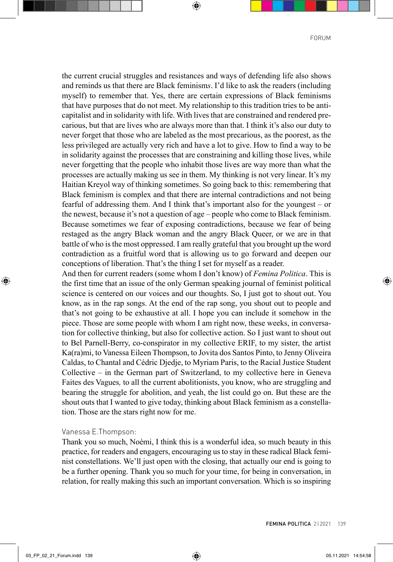the current crucial struggles and resistances and ways of defending life also shows and reminds us that there are Black feminism*s*. I'd like to ask the readers (including myself) to remember that. Yes, there are certain expressions of Black feminisms that have purposes that do not meet. My relationship to this tradition tries to be anticapitalist and in solidarity with life. With lives that are constrained and rendered precarious, but that are lives who are always more than that. I think it's also our duty to never forget that those who are labeled as the most precarious, as the poorest, as the less privileged are actually very rich and have a lot to give. How to find a way to be in solidarity against the processes that are constraining and killing those lives, while never forgetting that the people who inhabit those lives are way more than what the processes are actually making us see in them. My thinking is not very linear. It's my Haitian Kreyol way of thinking sometimes. So going back to this: remembering that Black feminism is complex and that there are internal contradictions and not being fearful of addressing them. And I think that's important also for the youngest – or the newest, because it's not a question of age – people who come to Black feminism. Because sometimes we fear of exposing contradictions, because we fear of being restaged as the angry Black woman and the angry Black Queer, or we are in that battle of who is the most oppressed. I am really grateful that you brought up the word contradiction as a fruitful word that is allowing us to go forward and deepen our conceptions of liberation. That's the thing I set for myself as a reader.

And then for current readers (some whom I don't know) of *Femina Politica*. This is the first time that an issue of the only German speaking journal of feminist political science is centered on our voices and our thoughts. So, I just got to shout out. You know, as in the rap songs. At the end of the rap song, you shout out to people and that's not going to be exhaustive at all. I hope you can include it somehow in the piece. Those are some people with whom I am right now, these weeks, in conversation for collective thinking, but also for collective action. So I just want to shout out to Bel Parnell-Berry, co-conspirator in my collective ERIF, to my sister, the artist Ka(ra)mi, to Vanessa Eileen Thompson, to Jovita dos Santos Pinto, to Jenny Oliveira Caldas, to Chantal and Cédric Djedje, to Myriam Paris, to the Racial Justice Student Collective *–* in the German part of Switzerland, to my collective here in Geneva Faites des Vagues*,* to all the current abolitionists, you know, who are struggling and bearing the struggle for abolition, and yeah, the list could go on. But these are the shout outs that I wanted to give today, thinking about Black feminism as a constellation. Those are the stars right now for me.

#### Vanessa E.Thompson:

Thank you so much, Noémi, I think this is a wonderful idea, so much beauty in this practice, for readers and engagers, encouraging us to stay in these radical Black feminist constellations. We'll just open with the closing, that actually our end is going to be a further opening. Thank you so much for your time, for being in conversation, in relation, for really making this such an important conversation. Which is so inspiring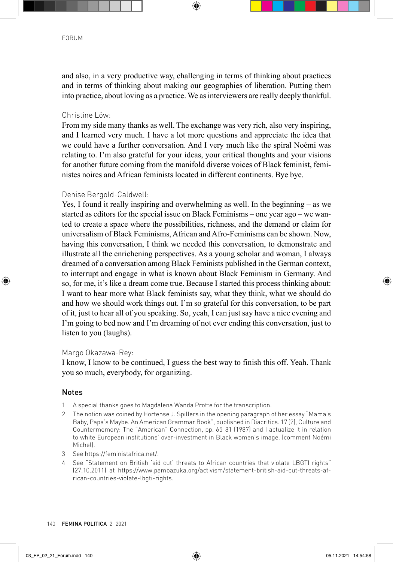and also, in a very productive way, challenging in terms of thinking about practices and in terms of thinking about making our geographies of liberation. Putting them into practice, about loving as a practice. We as interviewers are really deeply thankful.

## Christine Löw:

From my side many thanks as well. The exchange was very rich, also very inspiring, and I learned very much. I have a lot more questions and appreciate the idea that we could have a further conversation. And I very much like the spiral Noémi was relating to. I'm also grateful for your ideas, your critical thoughts and your visions for another future coming from the manifold diverse voices of Black feminist, feministes noires and African feminists located in different continents. Bye bye.

## Denise Bergold-Caldwell:

Yes, I found it really inspiring and overwhelming as well. In the beginning – as we started as editors for the special issue on Black Feminisms – one year ago – we wanted to create a space where the possibilities, richness, and the demand or claim for universalism of Black Feminisms, African and Afro-Feminisms can be shown. Now, having this conversation, I think we needed this conversation, to demonstrate and illustrate all the enrichening perspectives. As a young scholar and woman, I always dreamed of a conversation among Black Feminists published in the German context, to interrupt and engage in what is known about Black Feminism in Germany. And so, for me, it's like a dream come true. Because I started this process thinking about: I want to hear more what Black feminists say, what they think, what we should do and how we should work things out. I'm so grateful for this conversation, to be part of it, just to hear all of you speaking. So, yeah, I can just say have a nice evening and I'm going to bed now and I'm dreaming of not ever ending this conversation, just to listen to you (laughs).

## Margo Okazawa-Rey:

I know, I know to be continued, I guess the best way to finish this off. Yeah. Thank you so much, everybody, for organizing.

## Notes

- 1 A special thanks goes to Magdalena Wanda Protte for the transcription.
- 2 The notion was coined by Hortense J. Spillers in the opening paragraph of her essay "Mama's Baby, Papa's Maybe. An American Grammar Book", published in Diacritics. 17 (2), Culture and Countermemory: The "American" Connection, pp. 65-81 (1987) and I actualize it in relation to white European institutions' over-investment in Black women's image. (comment Noémi Michel).
- 3 See [https://feministafrica.net/.](https://feministafrica.net/)
- 4 See "Statement on British 'aid cut' threats to African countries that violate LBGTI rights" [\(27.10.2011\) at https://www.pambazuka.org/activism/statement-british-aid-cut-threats-af](https://www.pambazuka.org/activism/statement-british-aid-cut-threats-af-rican-countries-violate-lbgti-rights)rican-[countries-violate-lbgti-rights.](https://www.pambazuka.org/activism/statement-british-aid-cut-threats-af-rican-countries-violate-lbgti-rights)